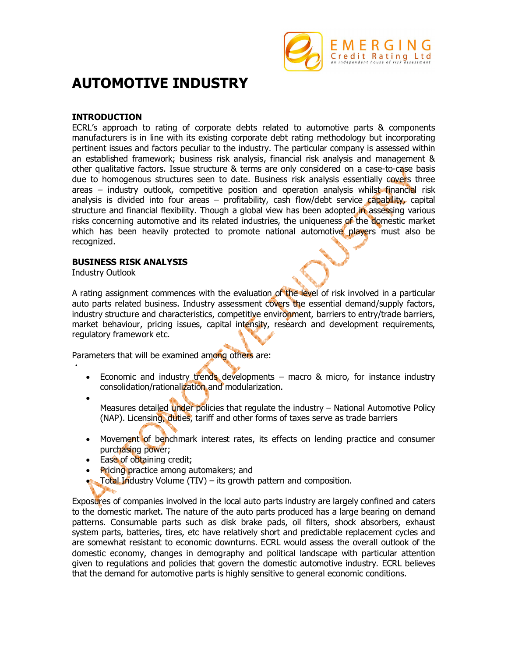

# **AUTOMOTIVE INDUSTRY**

#### **INTRODUCTION**

ECRL's approach to rating of corporate debts related to automotive parts & components manufacturers is in line with its existing corporate debt rating methodology but incorporating pertinent issues and factors peculiar to the industry. The particular company is assessed within an established framework; business risk analysis, financial risk analysis and management & other qualitative factors. Issue structure & terms are only considered on a case-to-case basis due to homogenous structures seen to date. Business risk analysis essentially covers three areas – industry outlook, competitive position and operation analysis whilst financial risk analysis is divided into four areas – profitability, cash flow/debt service capability, capital structure and financial flexibility. Though a global view has been adopted in assessing various risks concerning automotive and its related industries, the uniqueness of the domestic market which has been heavily protected to promote national automotive players must also be recognized.

#### **BUSINESS RISK ANALYSIS**

Industry Outlook

A rating assignment commences with the evaluation of the level of risk involved in a particular auto parts related business. Industry assessment covers the essential demand/supply factors, industry structure and characteristics, competitive environment, barriers to entry/trade barriers, market behaviour, pricing issues, capital intensity, research and development requirements, regulatory framework etc.

Parameters that will be examined among others are:

- Economic and industry trends developments macro & micro, for instance industry consolidation/rationalization and modularization.
- $\bullet$

 $\bullet$ 

Measures detailed under policies that regulate the industry – National Automotive Policy (NAP). Licensing, duties, tariff and other forms of taxes serve as trade barriers

- Movement of benchmark interest rates, its effects on lending practice and consumer purchasing power;
- Ease of obtaining credit;
- Pricing practice among automakers; and
- Total Industry Volume (TIV) its growth pattern and composition.

Exposures of companies involved in the local auto parts industry are largely confined and caters to the domestic market. The nature of the auto parts produced has a large bearing on demand patterns. Consumable parts such as disk brake pads, oil filters, shock absorbers, exhaust system parts, batteries, tires, etc have relatively short and predictable replacement cycles and are somewhat resistant to economic downturns. ECRL would assess the overall outlook of the domestic economy, changes in demography and political landscape with particular attention given to regulations and policies that govern the domestic automotive industry. ECRL believes that the demand for automotive parts is highly sensitive to general economic conditions.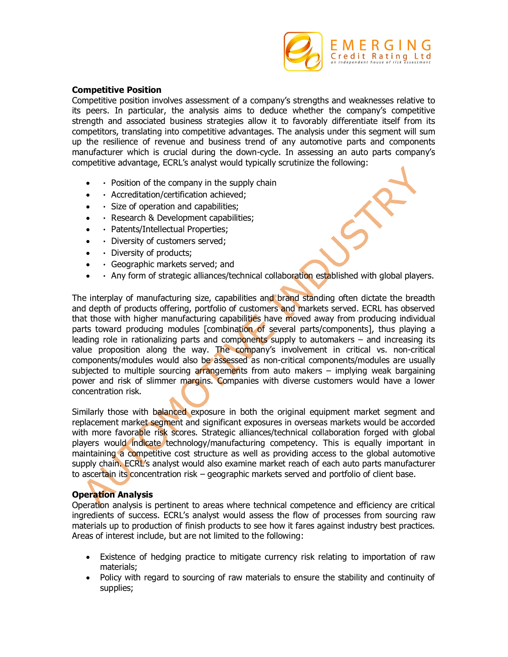

#### **Competitive Position**

Competitive position involves assessment of a company's strengths and weaknesses relative to its peers. In particular, the analysis aims to deduce whether the company's competitive strength and associated business strategies allow it to favorably differentiate itself from its competitors, translating into competitive advantages. The analysis under this segment will sum up the resilience of revenue and business trend of any automotive parts and components manufacturer which is crucial during the down-cycle. In assessing an auto parts company's competitive advantage, ECRL's analyst would typically scrutinize the following:

- $\cdot$  Position of the company in the supply chain
- Accreditation/certification achieved;
- $\cdot$  Size of operation and capabilities;
- Research & Development capabilities;
- · Patents/Intellectual Properties;
- Diversity of customers served;
- Diversity of products;
- Geographic markets served; and
- Any form of strategic alliances/technical collaboration established with global players.

The interplay of manufacturing size, capabilities and brand standing often dictate the breadth and depth of products offering, portfolio of customers and markets served. ECRL has observed that those with higher manufacturing capabilities have moved away from producing individual parts toward producing modules [combination of several parts/components], thus playing a leading role in rationalizing parts and components supply to automakers  $-$  and increasing its value proposition along the way. The company's involvement in critical vs. non-critical components/modules would also be assessed as non-critical components/modules are usually subjected to multiple sourcing arrangements from auto makers  $-$  implying weak bargaining power and risk of slimmer margins. Companies with diverse customers would have a lower concentration risk.

Similarly those with balanced exposure in both the original equipment market segment and replacement market segment and significant exposures in overseas markets would be accorded with more favorable risk scores. Strategic alliances/technical collaboration forged with global players would indicate technology/manufacturing competency. This is equally important in maintaining a competitive cost structure as well as providing access to the global automotive supply chain. ECRL's analyst would also examine market reach of each auto parts manufacturer to ascertain its concentration risk – geographic markets served and portfolio of client base.

## **Operation Analysis**

Operation analysis is pertinent to areas where technical competence and efficiency are critical ingredients of success. ECRL's analyst would assess the flow of processes from sourcing raw materials up to production of finish products to see how it fares against industry best practices. Areas of interest include, but are not limited to the following:

- Existence of hedging practice to mitigate currency risk relating to importation of raw materials;
- Policy with regard to sourcing of raw materials to ensure the stability and continuity of supplies;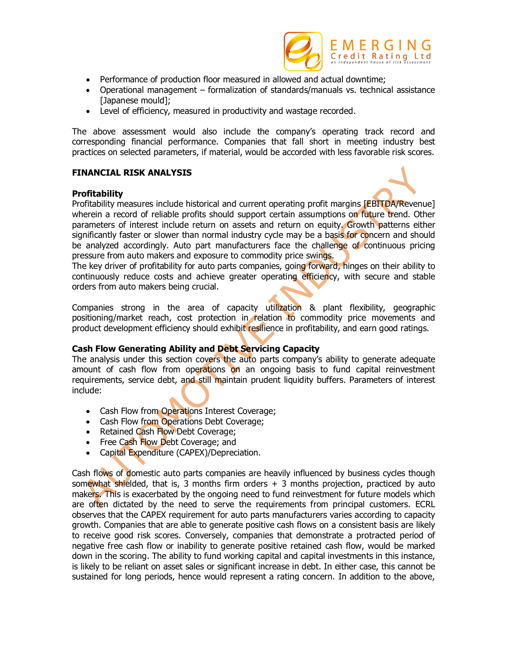

- Performance of production floor measured in allowed and actual downtime;
- Operational management formalization of standards/manuals vs. technical assistance [Japanese mould];
- Level of efficiency, measured in productivity and wastage recorded.

The above assessment would also include the company's operating track record and corresponding financial performance. Companies that fall short in meeting industry best practices on selected parameters, if material, would be accorded with less favorable risk scores.

### **FINANCIAL RISK ANALYSIS**

#### **Profitability**



Profitability measures include historical and current operating profit margins [EBITDA/Revenue] wherein a record of reliable profits should support certain assumptions on future trend. Other parameters of interest include return on assets and return on equity. Growth patterns either significantly faster or slower than normal industry cycle may be a basis for concern and should be analyzed accordingly. Auto part manufacturers face the challenge of continuous pricing pressure from auto makers and exposure to commodity price swings.

The key driver of profitability for auto parts companies, going forward, hinges on their ability to continuously reduce costs and achieve greater operating efficiency, with secure and stable orders from auto makers being crucial.

Companies strong in the area of capacity utilization & plant flexibility, geographic positioning/market reach, cost protection in relation to commodity price movements and product development efficiency should exhibit resilience in profitability, and earn good ratings.

## **Cash Flow Generating Ability and Debt Servicing Capacity**

The analysis under this section covers the auto parts company's ability to generate adequate amount of cash flow from operations on an ongoing basis to fund capital reinvestment requirements, service debt, and still maintain prudent liquidity buffers. Parameters of interest include:

- Cash Flow from Operations Interest Coverage;
- Cash Flow from Operations Debt Coverage;
- Retained Cash Flow Debt Coverage;
- Free Cash Flow Debt Coverage; and
- Capital Expenditure (CAPEX)/Depreciation.

Cash flows of **d**omestic auto parts companies are heavily influenced by business cycles though somewhat shielded, that is, 3 months firm orders  $+$  3 months projection, practiced by auto makers. This is exacerbated by the ongoing need to fund reinvestment for future models which are often dictated by the need to serve the requirements from principal customers. ECRL observes that the CAPEX requirement for auto parts manufacturers varies according to capacity growth. Companies that are able to generate positive cash flows on a consistent basis are likely to receive good risk scores. Conversely, companies that demonstrate a protracted period of negative free cash flow or inability to generate positive retained cash flow, would be marked down in the scoring. The ability to fund working capital and capital investments in this instance, is likely to be reliant on asset sales or significant increase in debt. In either case, this cannot be sustained for long periods, hence would represent a rating concern. In addition to the above,